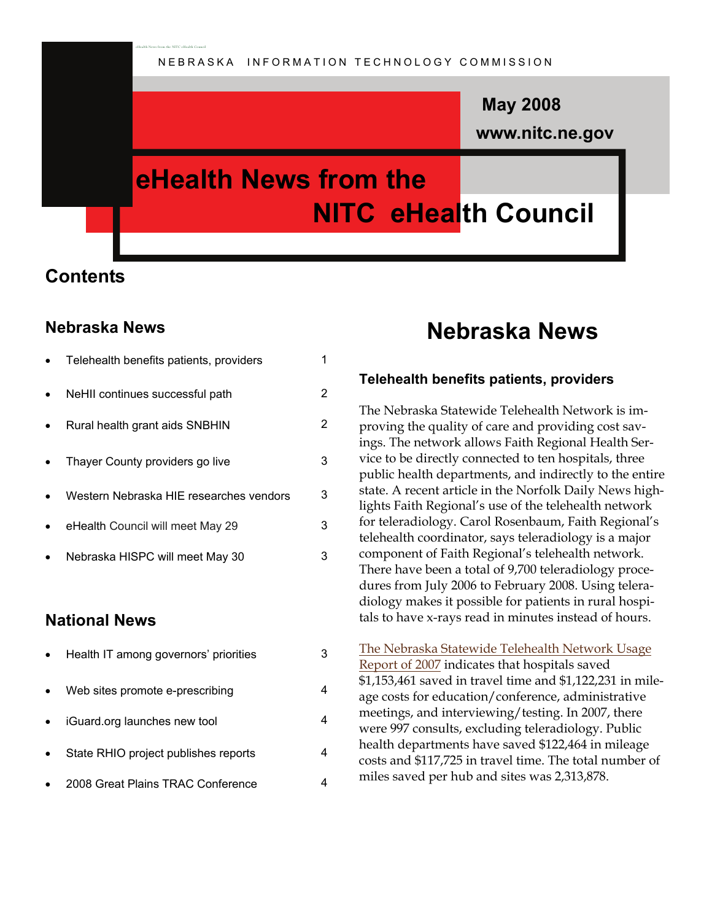### **www.nitc.ne.gov May 2008**

## **eHealth News from the NITC eHealth Council**

### **Contents**

#### **Nebraska News**

| Telehealth benefits patients, providers | 1 |
|-----------------------------------------|---|
| NeHII continues successful path         | 2 |
| Rural health grant aids SNBHIN          | 2 |
| Thayer County providers go live         | 3 |
| Western Nebraska HIE researches vendors | 3 |
| eHealth Council will meet May 29        | 3 |
| Nebraska HISPC will meet May 30         | 3 |
|                                         |   |
|                                         |   |

eHealth News from the NITC eHealth Council

#### **National News**

| Health IT among governors' priorities |  |
|---------------------------------------|--|
| Web sites promote e-prescribing       |  |
| iGuard.org launches new tool          |  |
| State RHIO project publishes reports  |  |
| 2008 Great Plains TRAC Conference     |  |

### **Nebraska News**

#### **Telehealth benefits patients, providers**

The Nebraska Statewide Telehealth Network is improving the quality of care and providing cost savings. The network allows Faith Regional Health Service to be directly connected to ten hospitals, three public health departments, and indirectly to the entire state. A recent article in the Norfolk Daily News highlights Faith Regional's use of the telehealth network for teleradiology. Carol Rosenbaum, Faith Regional's telehealth coordinator, says teleradiology is a major component of Faith Regional's telehealth network. There have been a total of 9,700 teleradiology procedures from July 2006 to February 2008. Using teleradiology makes it possible for patients in rural hospitals to have x-rays read in minutes instead of hours.

[The Nebraska Statewide Telehealth Network Usage](http://www.nitc.ne.gov/eHc/meetings/documents/2008Apr/2007NSTNevals.pdf)  [Report of 2007](http://www.nitc.ne.gov/eHc/meetings/documents/2008Apr/2007NSTNevals.pdf) indicates that hospitals saved \$1,153,461 saved in travel time and \$1,122,231 in mileage costs for education/conference, administrative meetings, and interviewing/testing. In 2007, there were 997 consults, excluding teleradiology. Public health departments have saved \$122,464 in mileage costs and \$117,725 in travel time. The total number of miles saved per hub and sites was 2,313,878.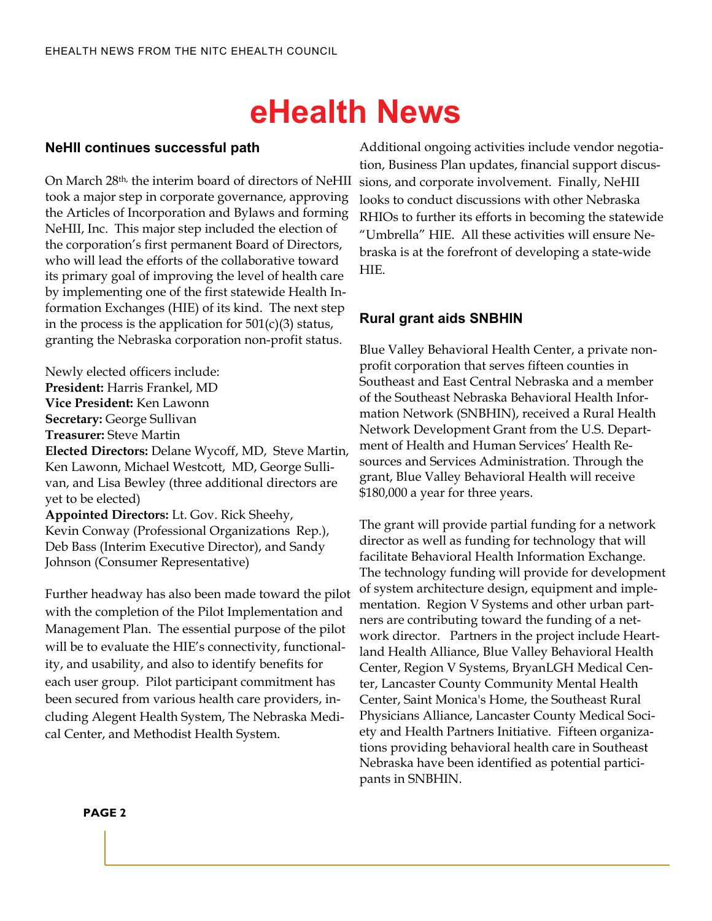## **eHealth News**

#### **NeHII continues successful path**

On March 28th, the interim board of directors of NeHII took a major step in corporate governance, approving the Articles of Incorporation and Bylaws and forming NeHII, Inc. This major step included the election of the corporation's first permanent Board of Directors, who will lead the efforts of the collaborative toward its primary goal of improving the level of health care by implementing one of the first statewide Health Information Exchanges (HIE) of its kind. The next step in the process is the application for  $501(c)(3)$  status, granting the Nebraska corporation non-profit status.

Newly elected officers include: **President:** Harris Frankel, MD **Vice President:** Ken Lawonn **Secretary:** George Sullivan **Treasurer:** Steve Martin **Elected Directors:** Delane Wycoff, MD, Steve Martin,

Ken Lawonn, Michael Westcott, MD, George Sullivan, and Lisa Bewley (three additional directors are yet to be elected)

**Appointed Directors:** Lt. Gov. Rick Sheehy, Kevin Conway (Professional Organizations Rep.), Deb Bass (Interim Executive Director), and Sandy Johnson (Consumer Representative)

Further headway has also been made toward the pilot with the completion of the Pilot Implementation and Management Plan. The essential purpose of the pilot will be to evaluate the HIE's connectivity, functionality, and usability, and also to identify benefits for each user group. Pilot participant commitment has been secured from various health care providers, including Alegent Health System, The Nebraska Medical Center, and Methodist Health System.

Additional ongoing activities include vendor negotiation, Business Plan updates, financial support discussions, and corporate involvement. Finally, NeHII looks to conduct discussions with other Nebraska RHIOs to further its efforts in becoming the statewide "Umbrella" HIE. All these activities will ensure Nebraska is at the forefront of developing a state-wide HIE.

#### **Rural grant aids SNBHIN**

Blue Valley Behavioral Health Center, a private nonprofit corporation that serves fifteen counties in Southeast and East Central Nebraska and a member of the Southeast Nebraska Behavioral Health Information Network (SNBHIN), received a Rural Health Network Development Grant from the U.S. Department of Health and Human Services' Health Resources and Services Administration. Through the grant, Blue Valley Behavioral Health will receive \$180,000 a year for three years.

The grant will provide partial funding for a network director as well as funding for technology that will facilitate Behavioral Health Information Exchange. The technology funding will provide for development of system architecture design, equipment and implementation. Region V Systems and other urban partners are contributing toward the funding of a network director. Partners in the project include Heartland Health Alliance, Blue Valley Behavioral Health Center, Region V Systems, BryanLGH Medical Center, Lancaster County Community Mental Health Center, Saint Monica's Home, the Southeast Rural Physicians Alliance, Lancaster County Medical Society and Health Partners Initiative. Fifteen organizations providing behavioral health care in Southeast Nebraska have been identified as potential participants in SNBHIN.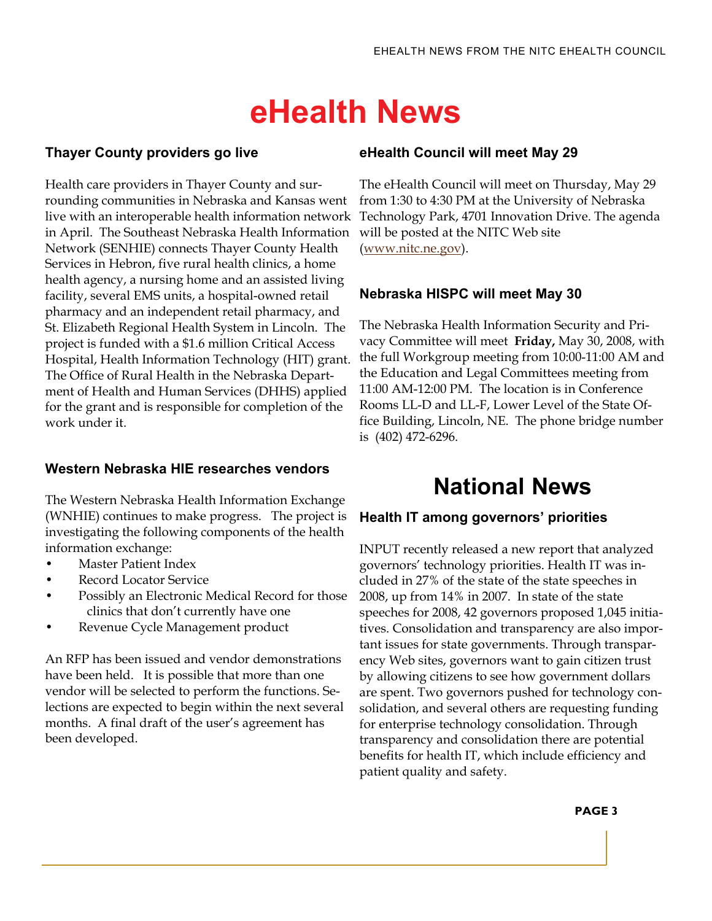## **eHealth News**

#### **Thayer County providers go live**

Health care providers in Thayer County and surrounding communities in Nebraska and Kansas went live with an interoperable health information network in April. The Southeast Nebraska Health Information Network (SENHIE) connects Thayer County Health Services in Hebron, five rural health clinics, a home health agency, a nursing home and an assisted living facility, several EMS units, a hospital-owned retail pharmacy and an independent retail pharmacy, and St. Elizabeth Regional Health System in Lincoln. The project is funded with a \$1.6 million Critical Access Hospital, Health Information Technology (HIT) grant. The Office of Rural Health in the Nebraska Department of Health and Human Services (DHHS) applied for the grant and is responsible for completion of the work under it.

#### **Western Nebraska HIE researches vendors**

The Western Nebraska Health Information Exchange (WNHIE) continues to make progress. The project is investigating the following components of the health information exchange:

- Master Patient Index
- Record Locator Service
- Possibly an Electronic Medical Record for those clinics that don't currently have one
- Revenue Cycle Management product

An RFP has been issued and vendor demonstrations have been held. It is possible that more than one vendor will be selected to perform the functions. Selections are expected to begin within the next several months. A final draft of the user's agreement has been developed.

#### **eHealth Council will meet May 29**

The eHealth Council will meet on Thursday, May 29 from 1:30 to 4:30 PM at the University of Nebraska Technology Park, 4701 Innovation Drive. The agenda will be posted at the NITC Web site ([www.nitc.ne.gov](http://www.nitc.ne.gov/)).

#### **Nebraska HISPC will meet May 30**

The Nebraska Health Information Security and Privacy Committee will meet **Friday,** May 30, 2008, with the full Workgroup meeting from 10:00-11:00 AM and the Education and Legal Committees meeting from 11:00 AM-12:00 PM. The location is in Conference Rooms LL-D and LL-F, Lower Level of the State Office Building, Lincoln, NE. The phone bridge number is (402) 472-6296.

### **National News**

#### **Health IT among governors' priorities**

INPUT recently released a new report that analyzed governors' technology priorities. Health IT was included in 27% of the state of the state speeches in 2008, up from 14% in 2007. In state of the state speeches for 2008, 42 governors proposed 1,045 initiatives. Consolidation and transparency are also important issues for state governments. Through transparency Web sites, governors want to gain citizen trust by allowing citizens to see how government dollars are spent. Two governors pushed for technology consolidation, and several others are requesting funding for enterprise technology consolidation. Through transparency and consolidation there are potential benefits for health IT, which include efficiency and patient quality and safety.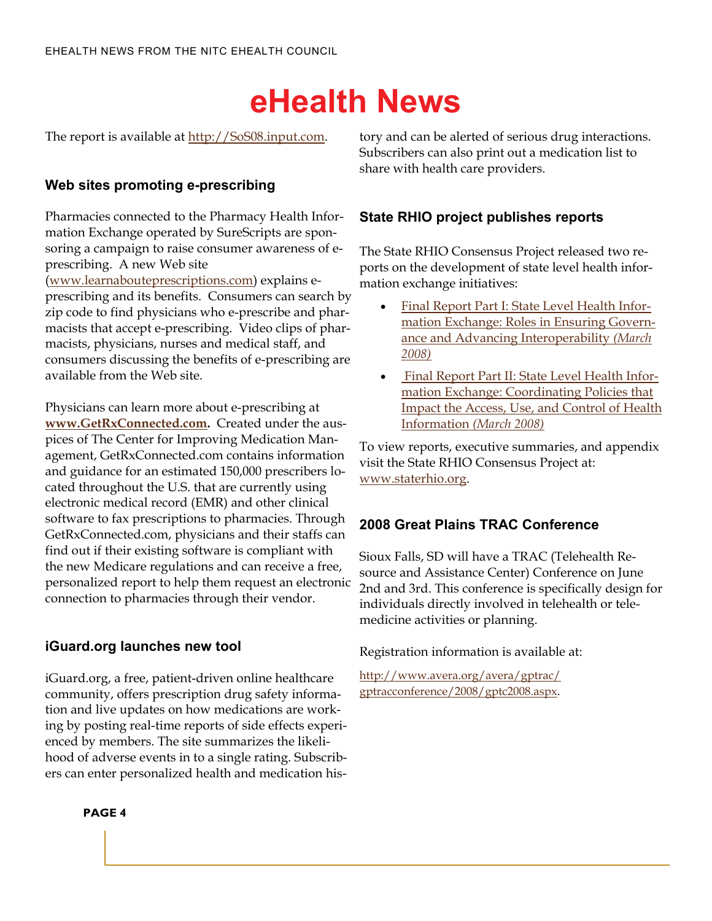# **eHealth News**

The report is available at [http://SoS08.input.com](http://sos08.input.com/).

#### **Web sites promoting e-prescribing**

Pharmacies connected to the Pharmacy Health Information Exchange operated by SureScripts are sponsoring a campaign to raise consumer awareness of eprescribing. A new Web site ([www.learnabouteprescriptions.com\)](http://www.learnabouteprescriptions.com/) explains eprescribing and its benefits. Consumers can search by zip code to find physicians who e-prescribe and pharmacists that accept e-prescribing. Video clips of pharmacists, physicians, nurses and medical staff, and consumers discussing the benefits of e-prescribing are available from the Web site.

Physicians can learn more about e-prescribing at **[www.GetRxConnected.com](http://www.getrxconnected.com/).** Created under the auspices of The Center for Improving Medication Management, GetRxConnected.com contains information and guidance for an estimated 150,000 prescribers located throughout the U.S. that are currently using electronic medical record (EMR) and other clinical software to fax prescriptions to pharmacies. Through GetRxConnected.com, physicians and their staffs can find out if their existing software is compliant with the new Medicare regulations and can receive a free, personalized report to help them request an electronic connection to pharmacies through their vendor.

#### **iGuard.org launches new tool**

iGuard.org, a free, patient-driven online healthcare community, offers prescription drug safety information and live updates on how medications are working by posting real-time reports of side effects experienced by members. The site summarizes the likelihood of adverse events in to a single rating. Subscribers can enter personalized health and medication history and can be alerted of serious drug interactions. Subscribers can also print out a medication list to share with health care providers.

#### **State RHIO project publishes reports**

The State RHIO Consensus Project released two reports on the development of state level health information exchange initiatives:

- [Final Report Part I: State Level Health Infor](http://www.staterhio.org/documents/SLHIE_Final_Report_Part_I_000.pdf)[mation Exchange: Roles in Ensuring Govern](http://www.staterhio.org/documents/SLHIE_Final_Report_Part_I_000.pdf)[ance and Advancing Interoperability](http://www.staterhio.org/documents/SLHIE_Final_Report_Part_I_000.pdf) *(March [2008\)](http://www.staterhio.org/documents/SLHIE_Final_Report_Part_I_000.pdf)*
- [Final Report Part II: State Level Health Infor](http://www.staterhio.org/documents/SLHIE_Final_Report_Part_II_000.pdf)[mation Exchange: Coordinating Policies that](http://www.staterhio.org/documents/SLHIE_Final_Report_Part_II_000.pdf)  [Impact the Access, Use, and Control of Health](http://www.staterhio.org/documents/SLHIE_Final_Report_Part_II_000.pdf)  Information *[\(March 2008\)](http://www.staterhio.org/documents/SLHIE_Final_Report_Part_II_000.pdf)*

To view reports, executive summaries, and appendix visit the State RHIO Consensus Project at: [www.staterhio.org](http://www.staterhio.org/).

#### **2008 Great Plains TRAC Conference**

Sioux Falls, SD will have a TRAC (Telehealth Resource and Assistance Center) Conference on June 2nd and 3rd. This conference is specifically design for individuals directly involved in telehealth or telemedicine activities or planning.

Registration information is available at:

[http://www.avera.org/avera/gptrac/](http://www.avera.org/avera/gptrac/gptracconference/2008/gptc2008.aspx) [gptracconference/2008/gptc2008.aspx.](http://www.avera.org/avera/gptrac/gptracconference/2008/gptc2008.aspx)